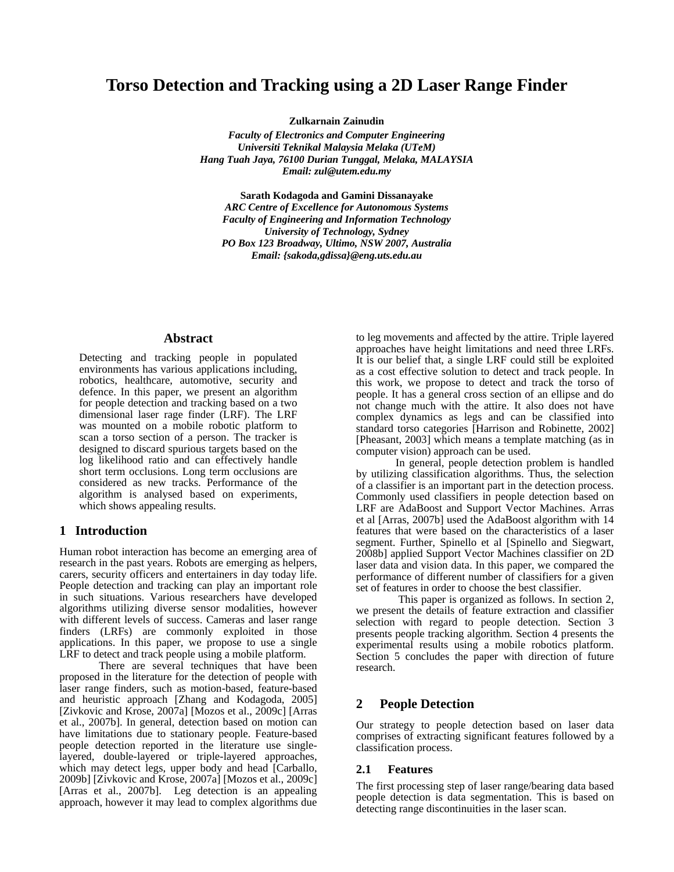## **Torso Detection and Tracking using a 2D Laser Range Finder**

**Zulkarnain Zainudin**

*Faculty of Electronics and Computer Engineering Universiti Teknikal Malaysia Melaka (UTeM) Hang Tuah Jaya, 76100 Durian Tunggal, Melaka, MALAYSIA Email: zul@utem.edu.my*

**Sarath Kodagoda and Gamini Dissanayake** *ARC Centre of Excellence for Autonomous Systems Faculty of Engineering and Information Technology University of Technology, Sydney PO Box 123 Broadway, Ultimo, NSW 2007, Australia Email: {sakoda,gdissa}@eng.uts.edu.au*

## **Abstract**

Detecting and tracking people in populated environments has various applications including, robotics, healthcare, automotive, security and defence. In this paper, we present an algorithm for people detection and tracking based on a two dimensional laser rage finder (LRF). The LRF was mounted on a mobile robotic platform to scan a torso section of a person. The tracker is designed to discard spurious targets based on the log likelihood ratio and can effectively handle short term occlusions. Long term occlusions are considered as new tracks. Performance of the algorithm is analysed based on experiments, which shows appealing results.

## **1 Introduction**

Human robot interaction has become an emerging area of research in the past years. Robots are emerging as helpers, carers, security officers and entertainers in day today life. People detection and tracking can play an important role in such situations. Various researchers have developed algorithms utilizing diverse sensor modalities, however with different levels of success. Cameras and laser range finders (LRFs) are commonly exploited in those applications. In this paper, we propose to use a single LRF to detect and track people using a mobile platform.

There are several techniques that have been proposed in the literature for the detection of people with laser range finders, such as motion-based, feature-based and heuristic approach [Zhang and Kodagoda, 2005] [Zivkovic and Krose, 2007a] [Mozos et al., 2009c] [Arras et al., 2007b]. In general, detection based on motion can have limitations due to stationary people. Feature-based people detection reported in the literature use singlelayered, double-layered or triple-layered approaches, which may detect legs, upper body and head [Carballo, 2009b] [Zivkovic and Krose, 2007a] [Mozos et al., 2009c] [Arras et al., 2007b]. Leg detection is an appealing approach, however it may lead to complex algorithms due

to leg movements and affected by the attire. Triple layered approaches have height limitations and need three LRFs. It is our belief that, a single LRF could still be exploited as a cost effective solution to detect and track people. In this work, we propose to detect and track the torso of people. It has a general cross section of an ellipse and do not change much with the attire. It also does not have complex dynamics as legs and can be classified into standard torso categories [Harrison and Robinette, 2002] [Pheasant, 2003] which means a template matching (as in computer vision) approach can be used.

In general, people detection problem is handled by utilizing classification algorithms. Thus, the selection of a classifier is an important part in the detection process. Commonly used classifiers in people detection based on LRF are AdaBoost and Support Vector Machines. Arras et al [Arras, 2007b] used the AdaBoost algorithm with 14 features that were based on the characteristics of a laser segment. Further, Spinello et al [Spinello and Siegwart, 2008b] applied Support Vector Machines classifier on 2D laser data and vision data. In this paper, we compared the performance of different number of classifiers for a given set of features in order to choose the best classifier.

This paper is organized as follows. In section 2, we present the details of feature extraction and classifier selection with regard to people detection. Section 3 presents people tracking algorithm. Section 4 presents the experimental results using a mobile robotics platform. Section 5 concludes the paper with direction of future research.

## **2 People Detection**

Our strategy to people detection based on laser data comprises of extracting significant features followed by a classification process.

#### **2.1 Features**

The first processing step of laser range/bearing data based people detection is data segmentation. This is based on detecting range discontinuities in the laser scan.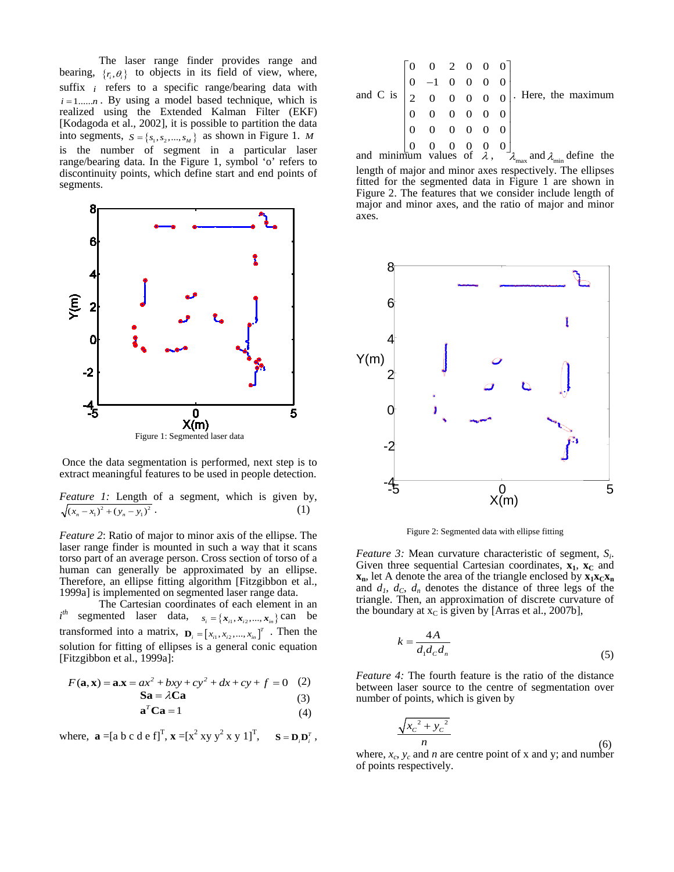The laser range finder provides range and bearing,  $\{r_i, \theta_i\}$  to objects in its field of view, where, suffix *i* refers to a specific range/bearing data with  $i = 1,...,n$ . By using a model based technique, which is realized using the Extended Kalman Filter (EKF) [Kodagoda et al., 2002], it is possible to partition the data into segments,  $S = \{s_1, s_2, ..., s_M\}$  as shown in Figure 1. *M* is the number of segment in a particular laser range/bearing data. In the Figure 1, symbol 'o' refers to discontinuity points, which define start and end points of segments.



Once the data segmentation is performed, next step is to extract meaningful features to be used in people detection.

*Feature 1:* Length of a segment, which is given by,  

$$
\sqrt{(x_n - x_1)^2 + (y_n - y_1)^2}
$$
 (1)

*Feature 2*: Ratio of major to minor axis of the ellipse. The laser range finder is mounted in such a way that it scans torso part of an average person. Cross section of torso of a human can generally be approximated by an ellipse. Therefore, an ellipse fitting algorithm [Fitzgibbon et al., 1999a] is implemented on segmented laser range data.

The Cartesian coordinates of each element in an *i* segmented laser data,  $s_i = \{x_{i1}, x_{i2}, ..., x_{in}\}$  can be transformed into a matrix,  $\mathbf{D}_i = \begin{bmatrix} x_{i1}, x_{i2}, ..., x_{in} \end{bmatrix}^T$ . Then the solution for fitting of ellipses is a general conic equation [Fitzgibbon et al., 1999a]:

$$
F(\mathbf{a}, \mathbf{x}) = \mathbf{a} \cdot \mathbf{x} = ax^2 + bxy + cy^2 + dx + cy + f = 0 \quad (2)
$$

$$
Sa = \lambda Ca \tag{3}
$$

$$
\mathbf{a}^T \mathbf{C} \mathbf{a} = 1 \tag{4}
$$

where,  $\mathbf{a} = [\mathbf{a} \mathbf{b} \mathbf{c} \mathbf{d} \mathbf{e} \mathbf{f}]^{\mathrm{T}}$ ,  $\mathbf{x} = [\mathbf{x}^2 \mathbf{x} \mathbf{y} \mathbf{y}^2 \mathbf{x} \mathbf{y} \mathbf{1}]^{\mathrm{T}}$ ,  $\mathbf{S} = \mathbf{D}_i \mathbf{D}_i^{\mathrm{T}}$ ,

|  |  |  | and C is $\begin{bmatrix} 0 & 0 & 2 & 0 & 0 & 0 \\ 0 & -1 & 0 & 0 & 0 & 0 \\ 2 & 0 & 0 & 0 & 0 & 0 \\ 0 & 0 & 0 & 0 & 0 & 0 \\ 0 & 0 & 0 & 0 & 0 & 0 \\ 0 & 0 & 0 & 0 & 0 & 0 \\ 0 & 0 & 0 & 0 & 0 & 0 \end{bmatrix}$ . Here, the maximum and minimum values of $\lambda$ , $\lambda_{\text{max}}$ and $\lambda_{\text{min}}$ |  |
|--|--|--|-------------------------------------------------------------------------------------------------------------------------------------------------------------------------------------------------------------------------------------------------------------------------------------------------------------------------------|--|
|  |  |  |                                                                                                                                                                                                                                                                                                                               |  |
|  |  |  |                                                                                                                                                                                                                                                                                                                               |  |
|  |  |  |                                                                                                                                                                                                                                                                                                                               |  |

length of major and minor axes respectively. The ellipses fitted for the segmented data in Figure 1 are shown in Figure 2. The features that we consider include length of major and minor axes, and the ratio of major and minor axes.



Figure 2: Segmented data with ellipse fitting

*Feature 3:* Mean curvature characteristic of segment, *Si*. Given three sequential Cartesian coordinates,  $x_1$ ,  $x_C$  and  $\mathbf{x}_n$ , let A denote the area of the triangle enclosed by  $\mathbf{x}_1 \mathbf{x}_C \mathbf{x}_n$ and  $d_1$ ,  $d_C$ ,  $d_n$  denotes the distance of three legs of the triangle. Then, an approximation of discrete curvature of the boundary at  $x_c$  is given by [Arras et al., 2007b],

$$
k = \frac{4A}{d_1 d_c d_n} \tag{5}
$$

*Feature 4:* The fourth feature is the ratio of the distance between laser source to the centre of segmentation over number of points, which is given by

$$
\frac{\sqrt{x_c^2 + y_c^2}}{n}
$$
 (6)

where,  $x_c$ ,  $y_c$  and *n* are centre point of x and y; and number of points respectively.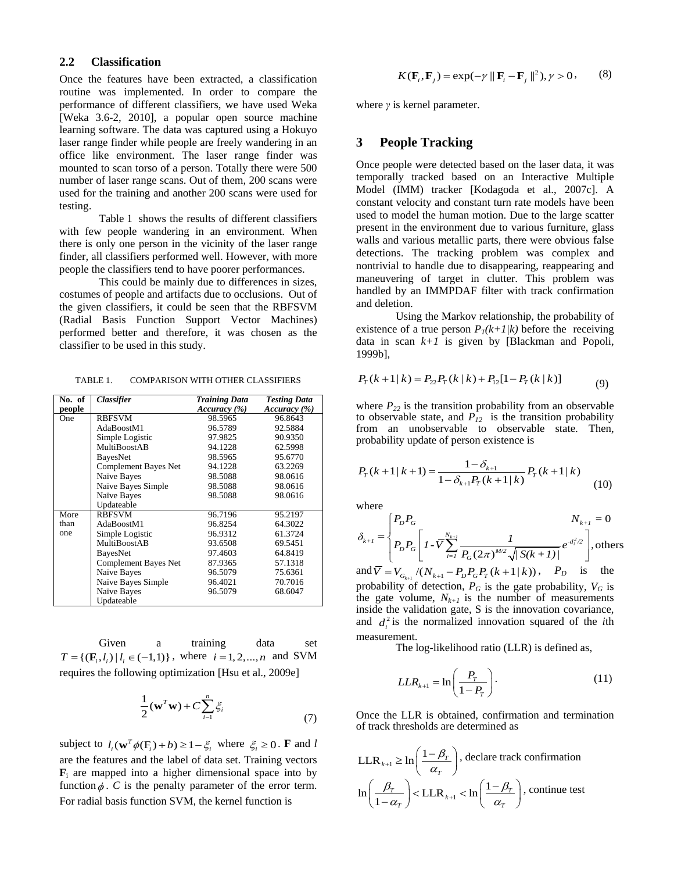## **2.2 Classification**

Once the features have been extracted, a classification routine was implemented. In order to compare the performance of different classifiers, we have used Weka [Weka 3.6-2, 2010], a popular open source machine learning software. The data was captured using a Hokuyo laser range finder while people are freely wandering in an office like environment. The laser range finder was mounted to scan torso of a person. Totally there were 500 number of laser range scans. Out of them, 200 scans were used for the training and another 200 scans were used for testing.

Table 1 shows the results of different classifiers with few people wandering in an environment. When there is only one person in the vicinity of the laser range finder, all classifiers performed well. However, with more people the classifiers tend to have poorer performances.

This could be mainly due to differences in sizes, costumes of people and artifacts due to occlusions. Out of the given classifiers, it could be seen that the RBFSVM (Radial Basis Function Support Vector Machines) performed better and therefore, it was chosen as the classifier to be used in this study.

TABLE 1. COMPARISON WITH OTHER CLASSIFIERS

| No. of | Classifier           | <b>Training Data</b> | <b>Testing Data</b> |
|--------|----------------------|----------------------|---------------------|
| people |                      | Accuracy (%)         | Accuracy (%)        |
| One    | <b>RBFSVM</b>        | 98.5965              | 96.8643             |
|        | AdaBoostM1           | 96.5789              | 92.5884             |
|        | Simple Logistic      | 97.9825              | 90.9350             |
|        | MultiBoostAB         | 94.1228              | 62.5998             |
|        | BayesNet             | 98.5965              | 95.6770             |
|        | Complement Bayes Net | 94.1228              | 63.2269             |
|        | Naïve Bayes          | 98.5088              | 98.0616             |
|        | Naïve Bayes Simple   | 98.5088              | 98.0616             |
|        | Naïve Bayes          | 98.5088              | 98.0616             |
|        | Updateable           |                      |                     |
| More   | <b>RBFSVM</b>        | 96.7196              | 95.2197             |
| than   | AdaBoostM1           | 96.8254              | 64.3022             |
| one    | Simple Logistic      | 96.9312              | 61.3724             |
|        | <b>MultiBoostAB</b>  | 93.6508              | 69.5451             |
|        | BayesNet             | 97.4603              | 64.8419             |
|        | Complement Bayes Net | 87.9365              | 57.1318             |
|        | Naïve Bayes          | 96.5079              | 75.6361             |
|        | Naïve Bayes Simple   | 96.4021              | 70.7016             |
|        | Naïve Bayes          | 96.5079              | 68.6047             |
|        | Updateable           |                      |                     |

Given a training data set  $T = \{ (\mathbf{F}_i, l_i) | l_i \in (-1,1) \}$ , where  $i = 1, 2, ..., n$  and SVM requires the following optimization [Hsu et al., 2009e]

$$
\frac{1}{2}(\mathbf{w}^T\mathbf{w}) + C \sum_{i=1}^n \xi_i
$$
\n(7)

subject to  $l_i(\mathbf{w}^T \phi(\mathbf{F}_i) + b) \ge 1 - \xi_i$  where  $\xi_i \ge 0$ . **F** and *l* are the features and the label of data set. Training vectors  $\mathbf{F}_i$  are mapped into a higher dimensional space into by function  $\phi$ . *C* is the penalty parameter of the error term. For radial basis function SVM, the kernel function is

$$
K(\mathbf{F}_i, \mathbf{F}_j) = \exp(-\gamma ||\mathbf{F}_i - \mathbf{F}_j||^2), \gamma > 0,
$$
 (8)

where *γ* is kernel parameter.

## **3 People Tracking**

Once people were detected based on the laser data, it was temporally tracked based on an Interactive Multiple Model (IMM) tracker [Kodagoda et al., 2007c]. A constant velocity and constant turn rate models have been used to model the human motion. Due to the large scatter present in the environment due to various furniture, glass walls and various metallic parts, there were obvious false detections. The tracking problem was complex and nontrivial to handle due to disappearing, reappearing and maneuvering of target in clutter. This problem was handled by an IMMPDAF filter with track confirmation and deletion.

Using the Markov relationship, the probability of existence of a true person  $P_T(k+1/k)$  before the receiving data in scan  $k+1$  is given by [Blackman and Popoli, 1999b],

$$
P_T(k+1|k) = P_{22}P_T(k|k) + P_{12}[1 - P_T(k|k)]
$$
\n(9)

where  $P_{22}$  is the transition probability from an observable to observable state, and  $\overrightarrow{P}_{12}$  is the transition probability from an unobservable to observable state. Then, probability update of person existence is

$$
P_T(k+1|k+1) = \frac{1 - \delta_{k+1}}{1 - \delta_{k+1}P_T(k+1|k)} P_T(k+1|k)
$$
\n(10)

where

$$
\delta_{k+1} = \begin{cases} P_D P_G & N_{k+1} = 0 \\ P_D P_G \left[ I - \overline{V} \sum_{i=1}^{N_{k+1}} \frac{1}{P_G (2\pi)^{M/2} \sqrt{|S(k+1)|}} e^{-d_i^2/2} \right], \text{others} \end{cases}
$$

 $\text{and } \overline{V} = V_{G_{k+1}}/(N_{k+1} - P_D P_G P_T (k+1|k))$ ,  $P_D$  is the probability of detection,  $P_G$  is the gate probability,  $V_G$  is the gate volume,  $N_{k+1}$  is the number of measurements inside the validation gate, S is the innovation covariance, and  $d_i^2$  is the normalized innovation squared of the *i*th measurement.

The log-likelihood ratio (LLR) is defined as,

$$
LLR_{k+1} = \ln\left(\frac{P_T}{1 - P_T}\right). \tag{11}
$$

Once the LLR is obtained, confirmation and termination of track thresholds are determined as

$$
\text{LLR}_{k+1} \ge \ln\left(\frac{1-\beta_T}{\alpha_T}\right), \text{ declare track confirmation}
$$

$$
\ln\left(\frac{\beta_T}{1-\alpha_T}\right) < \text{LLR}_{k+1} < \ln\left(\frac{1-\beta_T}{\alpha_T}\right), \text{ continue test}
$$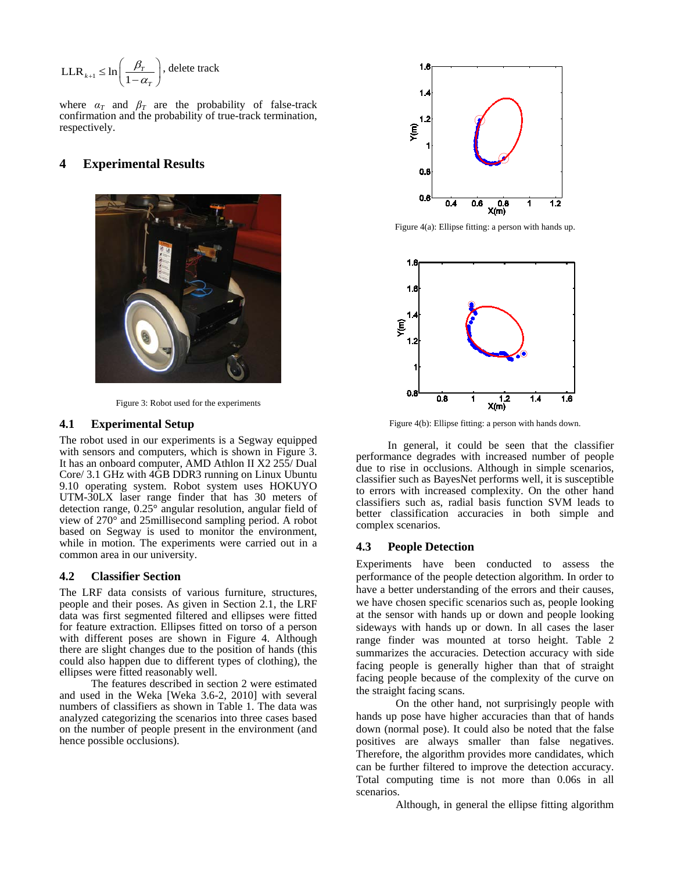$$
\mathbf{LLR}_{k+1} \leq \ln\left(\frac{\beta_T}{1-\alpha_T}\right), \text{delete track}
$$

where  $\alpha_T$  and  $\beta_T$  are the probability of false-track confirmation and the probability of true-track termination, respectively.

## **4 Experimental Results**



Figure 3: Robot used for the experiments

#### **4.1 Experimental Setup**

The robot used in our experiments is a Segway equipped with sensors and computers, which is shown in Figure 3. It has an onboard computer, AMD Athlon II X2 255/ Dual Core/ 3.1 GHz with 4GB DDR3 running on Linux Ubuntu 9.10 operating system. Robot system uses HOKUYO UTM-30LX laser range finder that has 30 meters of detection range, 0.25° angular resolution, angular field of view of 270° and 25millisecond sampling period. A robot based on Segway is used to monitor the environment, while in motion. The experiments were carried out in a common area in our university.

#### **4.2 Classifier Section**

The LRF data consists of various furniture, structures, people and their poses. As given in Section 2.1, the LRF data was first segmented filtered and ellipses were fitted for feature extraction. Ellipses fitted on torso of a person with different poses are shown in Figure 4. Although there are slight changes due to the position of hands (this could also happen due to different types of clothing), the ellipses were fitted reasonably well.

The features described in section 2 were estimated and used in the Weka [Weka 3.6-2, 2010] with several numbers of classifiers as shown in Table 1. The data was analyzed categorizing the scenarios into three cases based on the number of people present in the environment (and hence possible occlusions).



Figure 4(a): Ellipse fitting: a person with hands up.



Figure 4(b): Ellipse fitting: a person with hands down.

In general, it could be seen that the classifier performance degrades with increased number of people due to rise in occlusions. Although in simple scenarios, classifier such as BayesNet performs well, it is susceptible to errors with increased complexity. On the other hand classifiers such as, radial basis function SVM leads to better classification accuracies in both simple and complex scenarios.

### **4.3 People Detection**

Experiments have been conducted to assess the performance of the people detection algorithm. In order to have a better understanding of the errors and their causes, we have chosen specific scenarios such as, people looking at the sensor with hands up or down and people looking sideways with hands up or down. In all cases the laser range finder was mounted at torso height. Table 2 summarizes the accuracies. Detection accuracy with side facing people is generally higher than that of straight facing people because of the complexity of the curve on the straight facing scans.

On the other hand, not surprisingly people with hands up pose have higher accuracies than that of hands down (normal pose). It could also be noted that the false positives are always smaller than false negatives. Therefore, the algorithm provides more candidates, which can be further filtered to improve the detection accuracy. Total computing time is not more than 0.06s in all scenarios.

Although, in general the ellipse fitting algorithm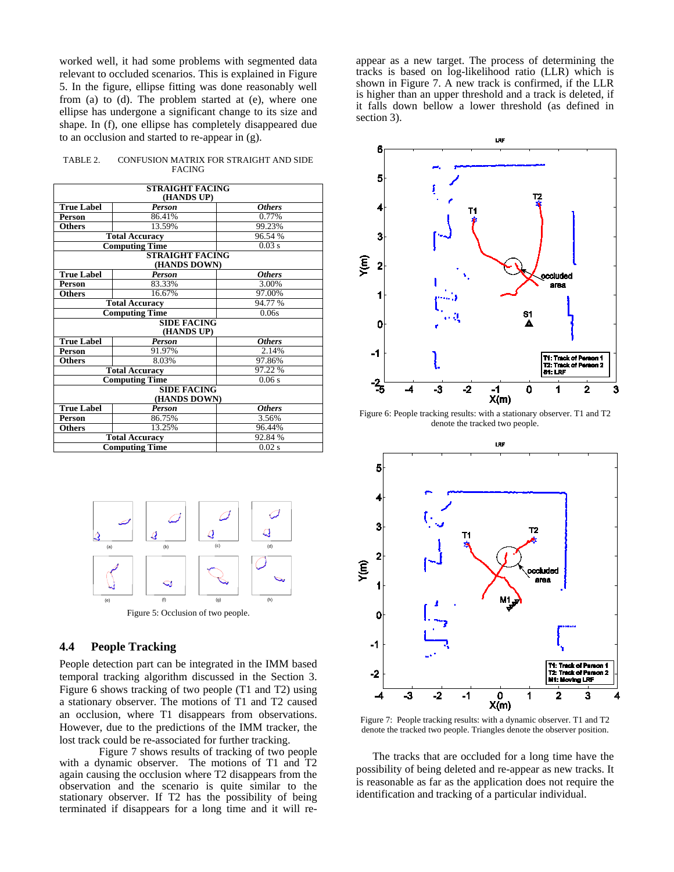worked well, it had some problems with segmented data relevant to occluded scenarios. This is explained in Figure 5. In the figure, ellipse fitting was done reasonably well from (a) to (d). The problem started at (e), where one ellipse has undergone a significant change to its size and shape. In (f), one ellipse has completely disappeared due to an occlusion and started to re-appear in (g).

TABLE 2. CONFUSION MATRIX FOR STRAIGHT AND SIDE FACING

| <b>STRAIGHT FACING</b> |                       |               |  |  |  |  |  |
|------------------------|-----------------------|---------------|--|--|--|--|--|
| (HANDS UP)             |                       |               |  |  |  |  |  |
| <b>True Label</b>      | <b>Person</b>         | <b>Others</b> |  |  |  |  |  |
| <b>Person</b>          | 86.41%                | 0.77%         |  |  |  |  |  |
| <b>Others</b>          | 13.59%                | 99.23%        |  |  |  |  |  |
|                        | <b>Total Accuracy</b> | 96.54 %       |  |  |  |  |  |
|                        | <b>Computing Time</b> | 0.03 s        |  |  |  |  |  |
| <b>STRAIGHT FACING</b> |                       |               |  |  |  |  |  |
| (HANDS DOWN)           |                       |               |  |  |  |  |  |
| <b>True Label</b>      | <b>Person</b>         | <b>Others</b> |  |  |  |  |  |
| <b>Person</b>          | 83.33%                | 3.00%         |  |  |  |  |  |
| <b>Others</b>          | 16.67%                | 97.00%        |  |  |  |  |  |
|                        | <b>Total Accuracy</b> | 94.77 %       |  |  |  |  |  |
|                        | <b>Computing Time</b> | 0.06s         |  |  |  |  |  |
|                        | <b>SIDE FACING</b>    |               |  |  |  |  |  |
| (HANDS UP)             |                       |               |  |  |  |  |  |
| <b>True Label</b>      | <b>Person</b>         | <b>Others</b> |  |  |  |  |  |
| Person                 | 91.97%                | 2.14%         |  |  |  |  |  |
| <b>Others</b>          | 8.03%                 | 97.86%        |  |  |  |  |  |
|                        | <b>Total Accuracy</b> | 97.22 %       |  |  |  |  |  |
|                        | <b>Computing Time</b> | 0.06 s        |  |  |  |  |  |
| <b>SIDE FACING</b>     |                       |               |  |  |  |  |  |
| (HANDS DOWN)           |                       |               |  |  |  |  |  |
| <b>True Label</b>      | <b>Person</b>         | <b>Others</b> |  |  |  |  |  |
| <b>Person</b>          | 86.75%                | 3.56%         |  |  |  |  |  |
| <b>Others</b>          | 13.25%                | 96.44%        |  |  |  |  |  |
|                        | <b>Total Accuracy</b> | 92.84 %       |  |  |  |  |  |
|                        | <b>Computing Time</b> | 0.02 s        |  |  |  |  |  |



## **4.4 People Tracking**

People detection part can be integrated in the IMM based temporal tracking algorithm discussed in the Section 3. Figure 6 shows tracking of two people (T1 and T2) using a stationary observer. The motions of T1 and T2 caused an occlusion, where T1 disappears from observations. However, due to the predictions of the IMM tracker, the lost track could be re-associated for further tracking.

Figure 7 shows results of tracking of two people with a dynamic observer. The motions of T1 and T2 again causing the occlusion where T2 disappears from the observation and the scenario is quite similar to the stationary observer. If T2 has the possibility of being terminated if disappears for a long time and it will re-

appear as a new target. The process of determining the tracks is based on log-likelihood ratio (LLR) which is shown in Figure 7. A new track is confirmed, if the LLR is higher than an upper threshold and a track is deleted, if it falls down bellow a lower threshold (as defined in section 3).



Figure 6: People tracking results: with a stationary observer. T1 and T2 denote the tracked two people.



Figure 7: People tracking results: with a dynamic observer. T1 and T2 denote the tracked two people. Triangles denote the observer position.

 The tracks that are occluded for a long time have the possibility of being deleted and re-appear as new tracks. It is reasonable as far as the application does not require the identification and tracking of a particular individual.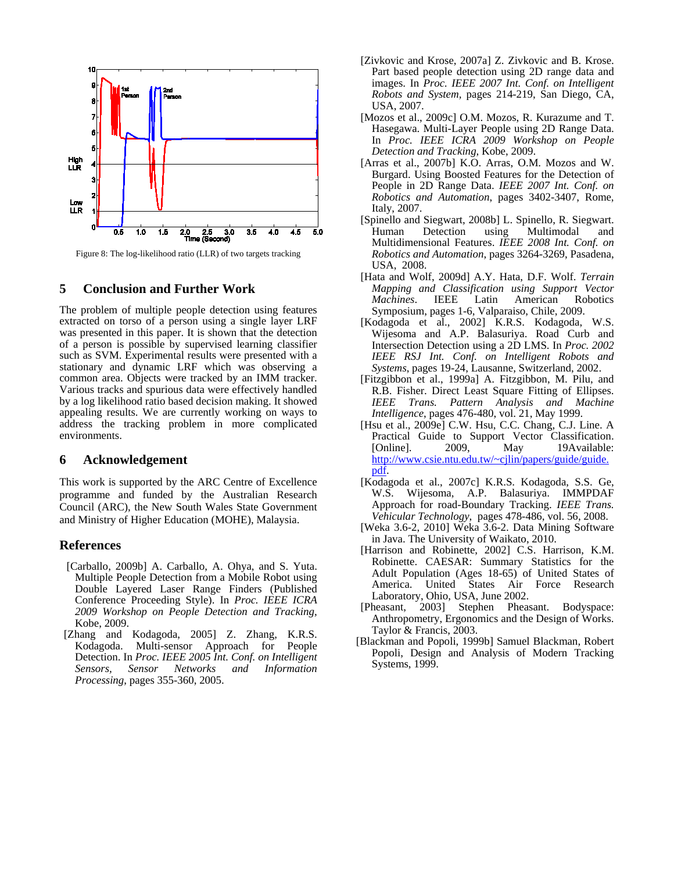

Figure 8: The log-likelihood ratio (LLR) of two targets tracking

## **5 Conclusion and Further Work**

The problem of multiple people detection using features extracted on torso of a person using a single layer LRF was presented in this paper. It is shown that the detection of a person is possible by supervised learning classifier such as SVM. Experimental results were presented with a stationary and dynamic LRF which was observing a common area. Objects were tracked by an IMM tracker. Various tracks and spurious data were effectively handled by a log likelihood ratio based decision making. It showed appealing results. We are currently working on ways to address the tracking problem in more complicated environments.

## **6 Acknowledgement**

This work is supported by the ARC Centre of Excellence programme and funded by the Australian Research Council (ARC), the New South Wales State Government and Ministry of Higher Education (MOHE), Malaysia.

## **References**

- [Carballo, 2009b] A. Carballo, A. Ohya, and S. Yuta. Multiple People Detection from a Mobile Robot using Double Layered Laser Range Finders (Published Conference Proceeding Style). In *Proc. IEEE ICRA 2009 Workshop on People Detection and Tracking*, Kobe, 2009.
- [Zhang and Kodagoda, 2005] Z. Zhang, K.R.S. Kodagoda. Multi-sensor Approach for People Detection. In *Proc. IEEE 2005 Int. Conf. on Intelligent Sensors, Sensor Networks and Information Processing*, pages 355-360, 2005.
- [Zivkovic and Krose, 2007a] Z. Zivkovic and B. Krose. Part based people detection using 2D range data and images. In *Proc. IEEE 2007 Int. Conf. on Intelligent Robots and System,* pages 214-219, San Diego, CA, USA, 2007.
- [Mozos et al., 2009c] O.M. Mozos, R. Kurazume and T. Hasegawa. Multi-Layer People using 2D Range Data. In *Proc. IEEE ICRA 2009 Workshop on People Detection and Tracking*, Kobe, 2009.
- [Arras et al., 2007b] K.O. Arras, O.M. Mozos and W. Burgard. Using Boosted Features for the Detection of People in 2D Range Data. *IEEE 2007 Int. Conf. on Robotics and Automation*, pages 3402-3407, Rome, Italy, 2007.
- [Spinello and Siegwart, 2008b] L. Spinello, R. Siegwart. Human Detection using Multimodal and Multidimensional Features. *IEEE 2008 Int. Conf. on Robotics and Automation*, pages 3264-3269, Pasadena, USA, 2008.
- [Hata and Wolf, 2009d] A.Y. Hata, D.F. Wolf. *Terrain Mapping and Classification using Support Vector Machines*. IEEE Latin American Robotics Symposium, pages 1-6, Valparaiso, Chile, 2009.
- [Kodagoda et al., 2002] K.R.S. Kodagoda, W.S. Wijesoma and A.P. Balasuriya. Road Curb and Intersection Detection using a 2D LMS. In *Proc. 2002 IEEE RSJ Int. Conf. on Intelligent Robots and Systems*, pages 19-24, Lausanne, Switzerland, 2002.
- [Fitzgibbon et al., 1999a] A. Fitzgibbon, M. Pilu, and R.B. Fisher. Direct Least Square Fitting of Ellipses. *IEEE Trans. Pattern Analysis and Machine Intelligence*, pages 476-480, vol. 21, May 1999.
- [Hsu et al., 2009e] C.W. Hsu, C.C. Chang, C.J. Line. A Practical Guide to Support Vector Classification.<br>
[Online]. 2009, May 19Available: 19Available: [http://www.csie.ntu.edu.tw/~cjlin/papers/guide/guide.](http://www.csie.ntu.edu.tw/~cjlin/papers/guide/guide.pdf) [pdf.](http://www.csie.ntu.edu.tw/~cjlin/papers/guide/guide.pdf)
- [Kodagoda et al., 2007c] K.R.S. Kodagoda, S.S. Ge, W.S. Wijesoma, A.P. Balasuriya. IMMPDAF Approach for road-Boundary Tracking. *IEEE Trans. Vehicular Technology*, pages 478-486, vol. 56, 2008.
- [Weka 3.6-2, 2010] Weka 3.6-2. Data Mining Software in Java. The University of Waikato, 2010.
- [Harrison and Robinette, 2002] C.S. Harrison, K.M. Robinette. CAESAR: Summary Statistics for the Adult Population (Ages 18-65) of United States of America. United States Air Force Research Laboratory, Ohio, USA, June 2002.
- [Pheasant, 2003] Stephen Pheasant. Bodyspace: Anthropometry, Ergonomics and the Design of Works. Taylor & Francis, 2003.
- [Blackman and Popoli, 1999b] Samuel Blackman, Robert Popoli, Design and Analysis of Modern Tracking Systems, 1999.